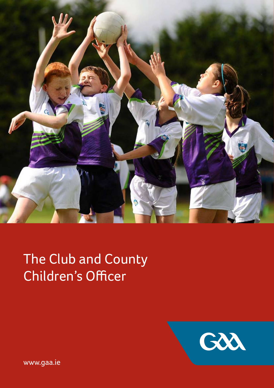

# The Club and County Children's Officer



www.gaa.ie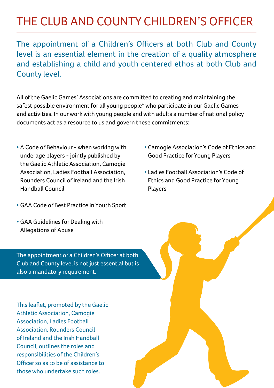## The Club and County Children's Officer

The appointment of a Children's Officers at both Club and County level is an essential element in the creation of a quality atmosphere and establishing a child and youth centered ethos at both Club and County level.

All of the Gaelic Games' Associations are committed to creating and maintaining the safest possible environment for all young people\* who participate in our Gaelic Games and activities. In our work with young people and with adults a number of national policy documents act as a resource to us and govern these commitments:

- A Code of Behaviour when working with underage players - jointly published by the Gaelic Athletic Association, Camogie Association, Ladies Football Association, Rounders Council of Ireland and the Irish Handball Council
- GAA Code of Best Practice in Youth Sport
- GAA Guidelines for Dealing with Allegations of Abuse

The appointment of a Children's Officer at both Club and County level is not just essential but is also a mandatory requirement.

This leaflet, promoted by the Gaelic Athletic Association, Camogie Association, Ladies Football Association, Rounders Council of Ireland and the Irish Handball Council, outlines the roles and responsibilities of the Children's Officer so as to be of assistance to those who undertake such roles.

- Camogie Association's Code of Ethics and Good Practice for Young Players
- Ladies Football Association's Code of Ethics and Good Practice for Young Players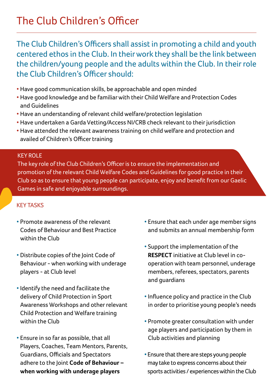The Club Children's Officers shall assist in promoting a child and youth centered ethos in the Club. In their work they shall be the link between the children/young people and the adults within the Club. In their role the Club Children's Officer should:

- Have good communication skills, be approachable and open minded
- Have good knowledge and be familiar with their Child Welfare and Protection Codes and Guidelines
- Have an understanding of relevant child welfare/protection legislation
- Have undertaken a Garda Vetting/Access NI/CRB check relevant to their jurisdiction
- Have attended the relevant awareness training on child welfare and protection and availed of Children's Officer training

### Key role

The key role of the Club Children's Officer is to ensure the implementation and promotion of the relevant Child Welfare Codes and Guidelines for good practice in their Club so as to ensure that young people can participate, enjoy and benefit from our Gaelic Games in safe and enjoyable surroundings.

### Key tasks

- Promote awareness of the relevant Codes of Behaviour and Best Practice within the Club
- Distribute copies of the Joint Code of Behaviour - when working with underage players - at Club level
- Identify the need and facilitate the delivery of Child Protection in Sport Awareness Workshops and other relevant Child Protection and Welfare training within the Club
- Ensure in so far as possible, that all Players, Coaches, Team Mentors, Parents, Guardians, Officials and Spectators adhere to the Joint **Code of Behaviour – when working with underage players**
- Ensure that each under age member signs and submits an annual membership form
- Support the implementation of the **RESPECT** initiative at Club level in cooperation with team personnel, underage members, referees, spectators, parents and guardians
- Influence policy and practice in the Club in order to prioritise young people's needs
- Promote greater consultation with under age players and participation by them in Club activities and planning
- Ensure that there are steps young people may take to express concerns about their sports activities / experiences within the Club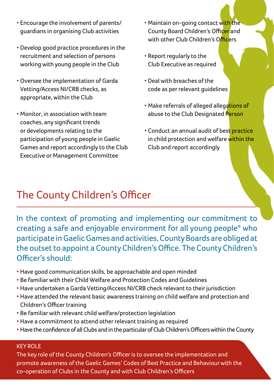- Encourage the involvement of parents/ guardians in organising Club activities
- Develop good practice procedures in the recruitment and selection of persons working with young people in the Club
- Oversee the implementation of Garda Vetting/Access NI/CRB checks, as appropriate, within the Club
- Monitor, in association with team coaches, any significant trends or developments relating to the participation of young people in Gaelic Games and report accordingly to the Club Executive or Management Committee
- Maintain on-going contact with the County Board Children's Officer and with other Club Children's Officers
- Report regularly to the Club Executive as required
- Deal with breaches of the code as per relevant guidelines
- Make referrals of alleged allegations of abuse to the Club Designated Person
- Conduct an annual audit of best practice in child protection and welfare within the Club and report accordingly

### The County Children's Officer

In the context of promoting and implementing our commitment to creating a safe and enjoyable environment for all young people\* who participate in Gaelic Games and activities, County Boards are obliged at the outset to appoint a County Children's Office. The County Children's Officer's should:

- Have good communication skills, be approachable and open minded
- Be familiar with their Child Welfare and Protection Codes and Guidelines
- Have undertaken a Garda Vetting/Access NI/CRB check relevant to their jurisdiction
- Have attended the relevant basic awareness training on child welfare and protection and Children's Officer training
- Be familiar with relevant child welfare/protection legislation
- Have a commitment to attend other relevant training as required
- Have the confidence of all Clubs and in the particular of Club Children's Officers within the County

### KFY ROLF

The key role of the County Children's Officer is to oversee the implementation and promote awareness of the Gaelic Games' Codes of Best Practice and Behaviour with the co-operation of Clubs in the County and with Club Children's Officers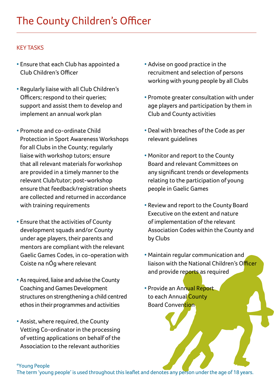### Key tasks

- Ensure that each Club has appointed a Club Children's Officer
- Regularly liaise with all Club Children's Officers; respond to their queries; support and assist them to develop and implement an annual work plan
- Promote and co-ordinate Child Protection in Sport Awareness Workshops for all Clubs in the County; regularly liaise with workshop tutors; ensure that all relevant materials for workshop are provided in a timely manner to the relevant Club/tutor; post-workshop ensure that feedback/registration sheets are collected and returned in accordance with training requirements
- Ensure that the activities of County development squads and/or County under age players, their parents and mentors are compliant with the relevant Gaelic Games Codes, in co-operation with Coiste na nÓg where relevant
- As required, liaise and advise the County Coaching and Games Development structures on strengthening a child centred ethos in their programmes and activities
- Assist, where required, the County Vetting Co-ordinator in the processing of vetting applications on behalf of the Association to the relevant authorities
- Advise on good practice in the recruitment and selection of persons working with young people by all Clubs
- Promote greater consultation with under age players and participation by them in Club and County activities
- Deal with breaches of the Code as per relevant guidelines
- Monitor and report to the County Board and relevant Committees on any significant trends or developments relating to the participation of young people in Gaelic Games
- Review and report to the County Board Executive on the extent and nature of implementation of the relevant Association Codes within the County and by Clubs
- Maintain regular communication and liaison with the National Children's Officer and provide reports as required
- Provide an Annual Report to each Annual County **Board Convention**

#### \*Young People

The term 'young people' is used throughout this leaflet and denotes any person under the age of 18 years.